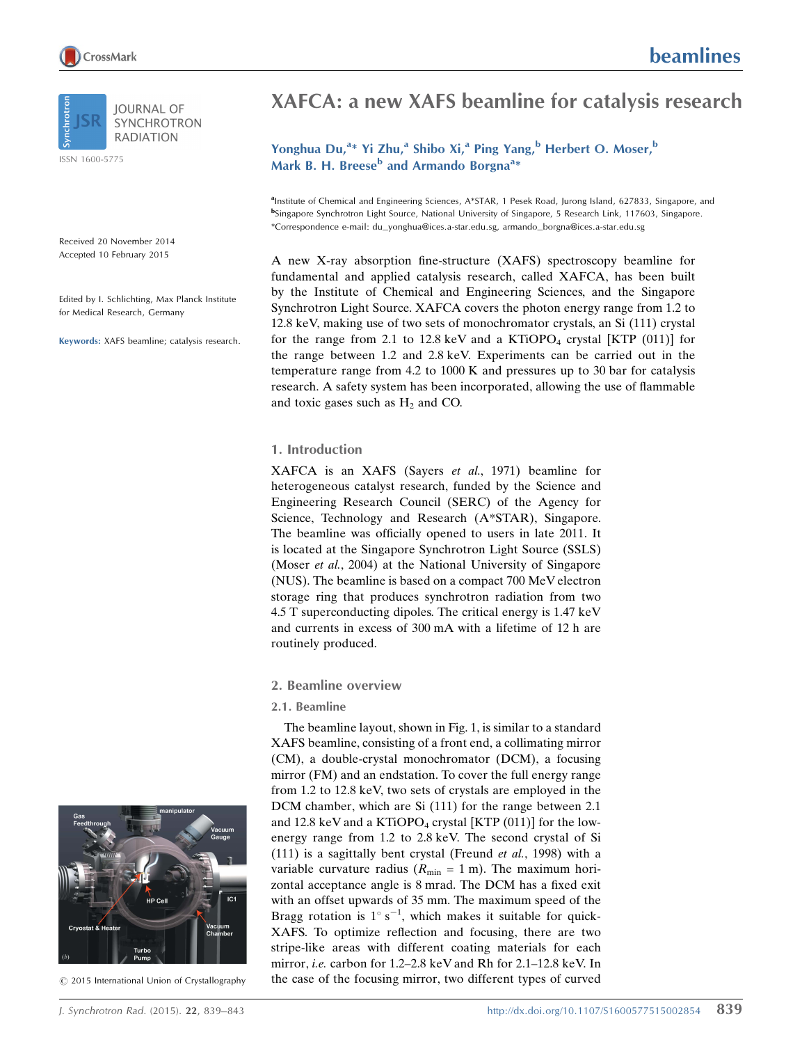

ISSN 1600-5775

Received 20 November 2014 Accepted 10 February 2015

Edited by I. Schlichting, Max Planck Institute for Medical Research, Germany

Keywords: XAFS beamline; catalysis research.

# XAFCA: a new XAFS beamline for catalysis research

# Yonghua Du,<sup>a</sup>\* Yi Zhu,<sup>a</sup> Shibo Xi,<sup>a</sup> Ping Yang,<sup>b</sup> Herbert O. Moser,<sup>b</sup> Mark B. H. Breese<sup>b</sup> and Armando Borgna<sup>a</sup>\*

<sup>a</sup>Institute of Chemical and Engineering Sciences, A\*STAR, 1 Pesek Road, Jurong Island, 627833, Singapore, and bSingapore Synchrotron Light Source, National University of Singapore, 5 Research Link, 117603, Singapore. \*Correspondence e-mail: du\_yonghua@ices.a-star.edu.sg, armando\_borgna@ices.a-star.edu.sg

A new X-ray absorption fine-structure (XAFS) spectroscopy beamline for fundamental and applied catalysis research, called XAFCA, has been built by the Institute of Chemical and Engineering Sciences, and the Singapore Synchrotron Light Source. XAFCA covers the photon energy range from 1.2 to 12.8 keV, making use of two sets of monochromator crystals, an Si (111) crystal for the range from 2.1 to 12.8 keV and a KTiOPO<sub>4</sub> crystal [KTP  $(011)$ ] for the range between 1.2 and 2.8 keV. Experiments can be carried out in the temperature range from 4.2 to 1000 K and pressures up to 30 bar for catalysis research. A safety system has been incorporated, allowing the use of flammable and toxic gases such as  $H_2$  and CO.

#### 1. Introduction

XAFCA is an XAFS (Sayers et al., 1971) beamline for heterogeneous catalyst research, funded by the Science and Engineering Research Council (SERC) of the Agency for Science, Technology and Research (A\*STAR), Singapore. The beamline was officially opened to users in late 2011. It is located at the Singapore Synchrotron Light Source (SSLS) (Moser *et al.*, 2004) at the National University of Singapore (NUS). The beamline is based on a compact 700 MeV electron storage ring that produces synchrotron radiation from two 4.5 T superconducting dipoles. The critical energy is 1.47 keV and currents in excess of 300 mA with a lifetime of 12 h are routinely produced.

## 2. Beamline overview

#### 2.1. Beamline

The beamline layout, shown in Fig. 1, is similar to a standard XAFS beamline, consisting of a front end, a collimating mirror (CM), a double-crystal monochromator (DCM), a focusing mirror (FM) and an endstation. To cover the full energy range from 1.2 to 12.8 keV, two sets of crystals are employed in the DCM chamber, which are Si (111) for the range between 2.1 and 12.8 keV and a KTiOPO<sub>4</sub> crystal [KTP  $(011)$ ] for the lowenergy range from 1.2 to 2.8 keV. The second crystal of Si (111) is a sagittally bent crystal (Freund et al., 1998) with a variable curvature radius ( $R_{\text{min}} = 1$  m). The maximum horizontal acceptance angle is 8 mrad. The DCM has a fixed exit with an offset upwards of 35 mm. The maximum speed of the Bragg rotation is  $1^\circ$  s<sup>-1</sup>, which makes it suitable for quick-XAFS. To optimize reflection and focusing, there are two stripe-like areas with different coating materials for each mirror, i.e. carbon for 1.2–2.8 keV and Rh for 2.1–12.8 keV. In the case of the focusing mirror, two different types of curved



 $©$  2015 International Union of Crystallography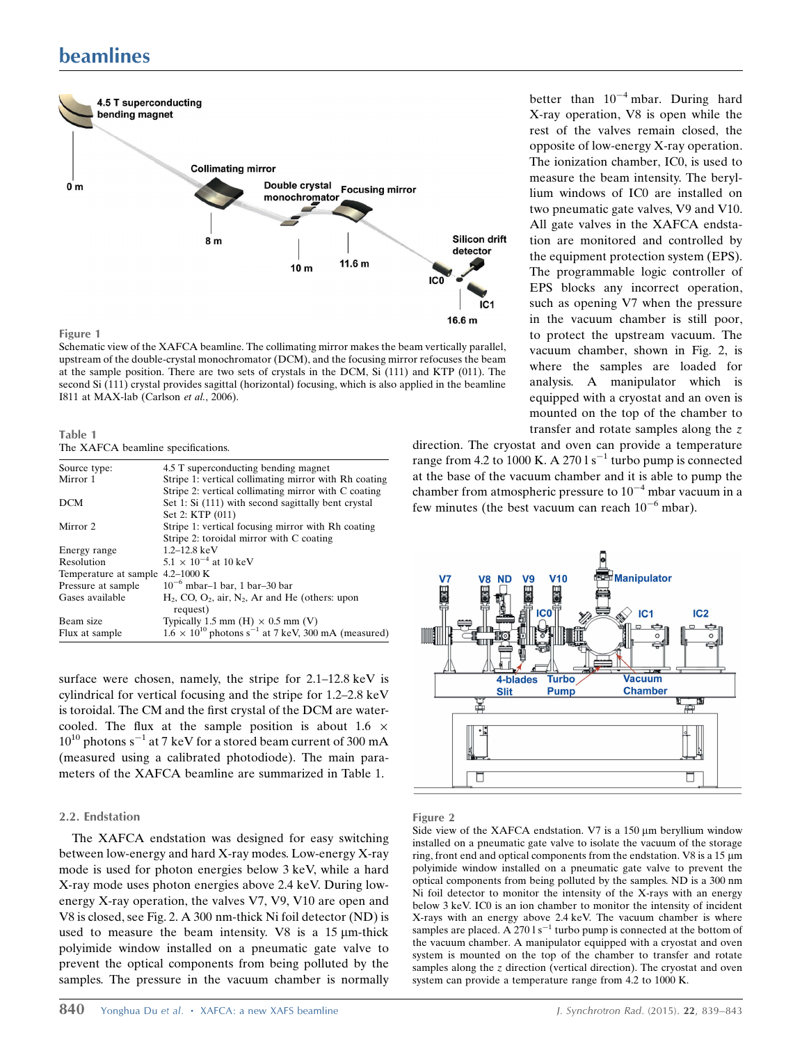# beamlines



Schematic view of the XAFCA beamline. The collimating mirror makes the beam vertically parallel, upstream of the double-crystal monochromator (DCM), and the focusing mirror refocuses the beam at the sample position. There are two sets of crystals in the DCM, Si (111) and KTP (011). The second Si (111) crystal provides sagittal (horizontal) focusing, which is also applied in the beamline I811 at MAX-lab (Carlson et al., 2006).

| Table 1 |                                    |
|---------|------------------------------------|
|         | The XAFCA beamline specifications. |

| Source type:                     | 4.5 T superconducting bending magnet                                       |
|----------------------------------|----------------------------------------------------------------------------|
| Mirror 1                         | Stripe 1: vertical collimating mirror with Rh coating                      |
|                                  | Stripe 2: vertical collimating mirror with C coating                       |
| <b>DCM</b>                       | Set 1: Si (111) with second sagittally bent crystal                        |
|                                  | Set 2: KTP (011)                                                           |
| Mirror 2                         | Stripe 1: vertical focusing mirror with Rh coating                         |
|                                  | Stripe 2: toroidal mirror with C coating                                   |
| Energy range                     | $1.2 - 12.8$ keV                                                           |
| Resolution                       | $5.1 \times 10^{-4}$ at 10 keV                                             |
| Temperature at sample 4.2-1000 K |                                                                            |
| Pressure at sample               | $10^{-6}$ mbar–1 bar, 1 bar–30 bar                                         |
| Gases available                  | $H_2$ , CO, O <sub>2</sub> , air, N <sub>2</sub> , Ar and He (others: upon |
|                                  | request)                                                                   |
| Beam size                        | Typically 1.5 mm (H) $\times$ 0.5 mm (V)                                   |
| Flux at sample                   | $1.6 \times 10^{10}$ photons s <sup>-1</sup> at 7 keV, 300 mA (measured)   |

surface were chosen, namely, the stripe for 2.1–12.8 keV is cylindrical for vertical focusing and the stripe for 1.2–2.8 keV is toroidal. The CM and the first crystal of the DCM are watercooled. The flux at the sample position is about  $1.6 \times$  $10^{10}$  photons s<sup>-1</sup> at 7 keV for a stored beam current of 300 mA (measured using a calibrated photodiode). The main parameters of the XAFCA beamline are summarized in Table 1.

#### 2.2. Endstation

The XAFCA endstation was designed for easy switching between low-energy and hard X-ray modes. Low-energy X-ray mode is used for photon energies below 3 keV, while a hard X-ray mode uses photon energies above 2.4 keV. During lowenergy X-ray operation, the valves V7, V9, V10 are open and V8 is closed, see Fig. 2. A 300 nm-thick Ni foil detector (ND) is used to measure the beam intensity. V8 is a  $15 \mu m$ -thick polyimide window installed on a pneumatic gate valve to prevent the optical components from being polluted by the samples. The pressure in the vacuum chamber is normally

840 Yonghua Du et al. • XAFCA: a new XAFS beamline J. Synchrotron Rad. (2015). 22, 839–843

better than  $10^{-4}$  mbar. During hard X-ray operation, V8 is open while the rest of the valves remain closed, the opposite of low-energy X-ray operation. The ionization chamber, IC0, is used to measure the beam intensity. The beryllium windows of IC0 are installed on two pneumatic gate valves, V9 and V10. All gate valves in the XAFCA endstation are monitored and controlled by the equipment protection system (EPS). The programmable logic controller of EPS blocks any incorrect operation, such as opening V7 when the pressure in the vacuum chamber is still poor, to protect the upstream vacuum. The vacuum chamber, shown in Fig. 2, is where the samples are loaded for analysis. A manipulator which is equipped with a cryostat and an oven is mounted on the top of the chamber to transfer and rotate samples along the z

direction. The cryostat and oven can provide a temperature range from 4.2 to 1000 K. A 270 l  $s^{-1}$  turbo pump is connected at the base of the vacuum chamber and it is able to pump the chamber from atmospheric pressure to  $10^{-4}$  mbar vacuum in a few minutes (the best vacuum can reach  $10^{-6}$  mbar).



#### Figure 2

Side view of the XAFCA endstation. V7 is a  $150 \mu m$  beryllium window installed on a pneumatic gate valve to isolate the vacuum of the storage ring, front end and optical components from the endstation. V8 is a  $15 \mu m$ polyimide window installed on a pneumatic gate valve to prevent the optical components from being polluted by the samples. ND is a 300 nm Ni foil detector to monitor the intensity of the X-rays with an energy below 3 keV. IC0 is an ion chamber to monitor the intensity of incident X-rays with an energy above 2.4 keV. The vacuum chamber is where samples are placed. A  $2701 s^{-1}$  turbo pump is connected at the bottom of the vacuum chamber. A manipulator equipped with a cryostat and oven system is mounted on the top of the chamber to transfer and rotate samples along the z direction (vertical direction). The cryostat and oven system can provide a temperature range from 4.2 to 1000 K.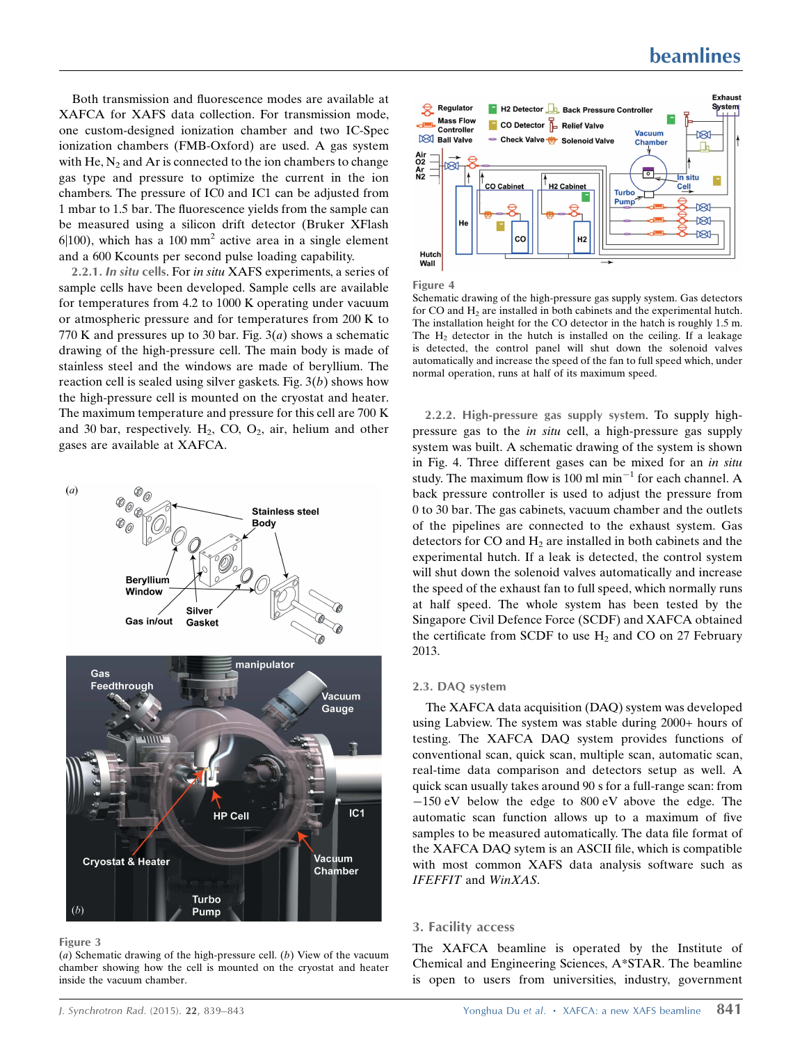Both transmission and fluorescence modes are available at XAFCA for XAFS data collection. For transmission mode, one custom-designed ionization chamber and two IC-Spec ionization chambers (FMB-Oxford) are used. A gas system with He,  $N_2$  and Ar is connected to the ion chambers to change gas type and pressure to optimize the current in the ion chambers. The pressure of IC0 and IC1 can be adjusted from 1 mbar to 1.5 bar. The fluorescence yields from the sample can be measured using a silicon drift detector (Bruker XFlash  $6|100$ ), which has a 100 mm<sup>2</sup> active area in a single element and a 600 Kcounts per second pulse loading capability.

2.2.1. In situ cells. For in situ XAFS experiments, a series of sample cells have been developed. Sample cells are available for temperatures from 4.2 to 1000 K operating under vacuum or atmospheric pressure and for temperatures from 200 K to 770 K and pressures up to 30 bar. Fig.  $3(a)$  shows a schematic drawing of the high-pressure cell. The main body is made of stainless steel and the windows are made of beryllium. The reaction cell is sealed using silver gaskets. Fig.  $3(b)$  shows how the high-pressure cell is mounted on the cryostat and heater. The maximum temperature and pressure for this cell are 700 K and 30 bar, respectively.  $H_2$ , CO, O<sub>2</sub>, air, helium and other gases are available at XAFCA.



Figure 3

(a) Schematic drawing of the high-pressure cell.  $(b)$  View of the vacuum chamber showing how the cell is mounted on the cryostat and heater inside the vacuum chamber.



Figure 4

Schematic drawing of the high-pressure gas supply system. Gas detectors for CO and  $H<sub>2</sub>$  are installed in both cabinets and the experimental hutch. The installation height for the CO detector in the hatch is roughly 1.5 m. The  $H<sub>2</sub>$  detector in the hutch is installed on the ceiling. If a leakage is detected, the control panel will shut down the solenoid valves automatically and increase the speed of the fan to full speed which, under normal operation, runs at half of its maximum speed.

2.2.2. High-pressure gas supply system. To supply highpressure gas to the in situ cell, a high-pressure gas supply system was built. A schematic drawing of the system is shown in Fig. 4. Three different gases can be mixed for an in situ study. The maximum flow is 100 ml  $min^{-1}$  for each channel. A back pressure controller is used to adjust the pressure from 0 to 30 bar. The gas cabinets, vacuum chamber and the outlets of the pipelines are connected to the exhaust system. Gas detectors for CO and  $H_2$  are installed in both cabinets and the experimental hutch. If a leak is detected, the control system will shut down the solenoid valves automatically and increase the speed of the exhaust fan to full speed, which normally runs at half speed. The whole system has been tested by the Singapore Civil Defence Force (SCDF) and XAFCA obtained the certificate from SCDF to use  $H_2$  and CO on 27 February 2013.

#### 2.3. DAQ system

The XAFCA data acquisition (DAQ) system was developed using Labview. The system was stable during 2000+ hours of testing. The XAFCA DAQ system provides functions of conventional scan, quick scan, multiple scan, automatic scan, real-time data comparison and detectors setup as well. A quick scan usually takes around 90 s for a full-range scan: from  $-150$  eV below the edge to 800 eV above the edge. The automatic scan function allows up to a maximum of five samples to be measured automatically. The data file format of the XAFCA DAQ sytem is an ASCII file, which is compatible with most common XAFS data analysis software such as IFEFFIT and WinXAS.

#### 3. Facility access

The XAFCA beamline is operated by the Institute of Chemical and Engineering Sciences, A\*STAR. The beamline is open to users from universities, industry, government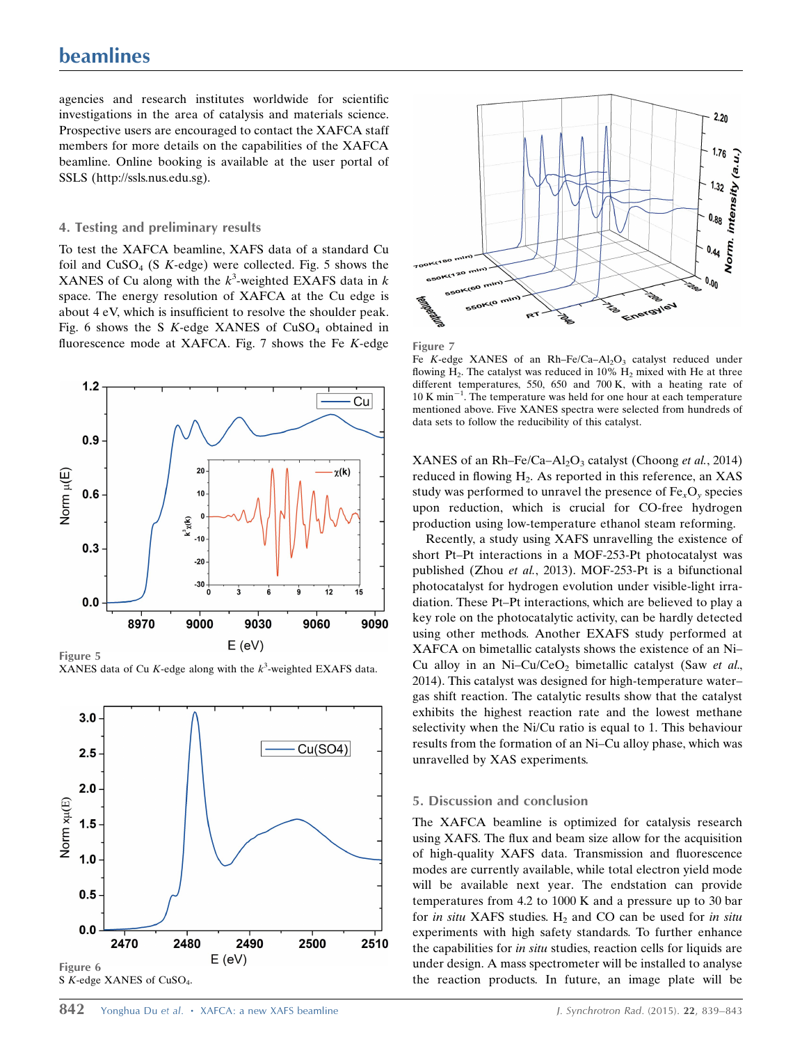agencies and research institutes worldwide for scientific investigations in the area of catalysis and materials science. Prospective users are encouraged to contact the XAFCA staff members for more details on the capabilities of the XAFCA beamline. Online booking is available at the user portal of SSLS (http://ssls.nus.edu.sg).

### 4. Testing and preliminary results

To test the XAFCA beamline, XAFS data of a standard Cu foil and  $CuSO<sub>4</sub>$  (S K-edge) were collected. Fig. 5 shows the XANES of Cu along with the  $k^3$ -weighted EXAFS data in k space. The energy resolution of XAFCA at the Cu edge is about 4 eV, which is insufficient to resolve the shoulder peak. Fig. 6 shows the S  $K$ -edge XANES of CuSO<sub>4</sub> obtained in fluorescence mode at XAFCA. Fig.  $7$  shows the Fe K-edge



XANES data of Cu K-edge along with the  $k^3$ -weighted EXAFS data.







Fe K-edge XANES of an Rh–Fe/Ca–Al<sub>2</sub>O<sub>3</sub> catalyst reduced under flowing  $H_2$ . The catalyst was reduced in 10%  $H_2$  mixed with He at three different temperatures, 550, 650 and 700 K, with a heating rate of  $10$  K min<sup>-1</sup>. The temperature was held for one hour at each temperature mentioned above. Five XANES spectra were selected from hundreds of data sets to follow the reducibility of this catalyst.

XANES of an Rh–Fe/Ca–Al<sub>2</sub>O<sub>3</sub> catalyst (Choong et al., 2014) reduced in flowing  $H<sub>2</sub>$ . As reported in this reference, an XAS study was performed to unravel the presence of  $Fe<sub>x</sub>O<sub>y</sub>$  species upon reduction, which is crucial for CO-free hydrogen production using low-temperature ethanol steam reforming.

Recently, a study using XAFS unravelling the existence of short Pt–Pt interactions in a MOF-253-Pt photocatalyst was published (Zhou et al., 2013). MOF-253-Pt is a bifunctional photocatalyst for hydrogen evolution under visible-light irradiation. These Pt–Pt interactions, which are believed to play a key role on the photocatalytic activity, can be hardly detected using other methods. Another EXAFS study performed at XAFCA on bimetallic catalysts shows the existence of an Ni– Cu alloy in an Ni-Cu/CeO<sub>2</sub> bimetallic catalyst (Saw et al., 2014). This catalyst was designed for high-temperature water– gas shift reaction. The catalytic results show that the catalyst exhibits the highest reaction rate and the lowest methane selectivity when the Ni/Cu ratio is equal to 1. This behaviour results from the formation of an Ni–Cu alloy phase, which was unravelled by XAS experiments.

#### 5. Discussion and conclusion

The XAFCA beamline is optimized for catalysis research using XAFS. The flux and beam size allow for the acquisition of high-quality XAFS data. Transmission and fluorescence modes are currently available, while total electron yield mode will be available next year. The endstation can provide temperatures from 4.2 to 1000 K and a pressure up to 30 bar for in situ XAFS studies.  $H_2$  and CO can be used for in situ experiments with high safety standards. To further enhance the capabilities for in situ studies, reaction cells for liquids are under design. A mass spectrometer will be installed to analyse the reaction products. In future, an image plate will be